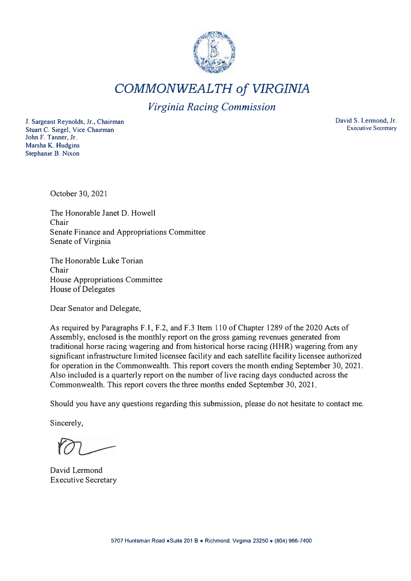

*COMMONWEALTH of VIRGINIA* 

*Virginia Racing Commission* 

J. Sargeant Reynolds, Jr., Chairman Stuart C. Siegel, Vice Chairman John F. Tanner, Jr. Marsha K. Hudgins Stephanie B. Nixon

David S. Lermond, Jr. Executive Secretary

October 30, 2021

The Honorable Janet D. Howell Chair Senate Finance and Appropriations Committee Senate of Virginia

The Honorable Luke Torian Chair House Appropriations Committee House of Delegates

Dear Senator and Delegate,

As required by Paragraphs F.1, F.2, and F.3 Item 110 of Chapter 1289 of the 2020 Acts of Assembly, enclosed is the monthly report on the gross gaming revenues generated from traditional horse racing wagering and from historical horse racing (HHR) wagering from any significant infrastructure limited licensee facility and each satellite facility licensee authorized for operation in the Commonwealth. This report covers the month ending September 30, 2021. Also included is a quarterly report on the number of live racing days conducted across the Commonwealth. This report covers the three months ended September 30, 2021.

Should you have any questions regarding this submission, please do not hesitate to contact me.

Sincerely,

David Lermond Executive Secretary